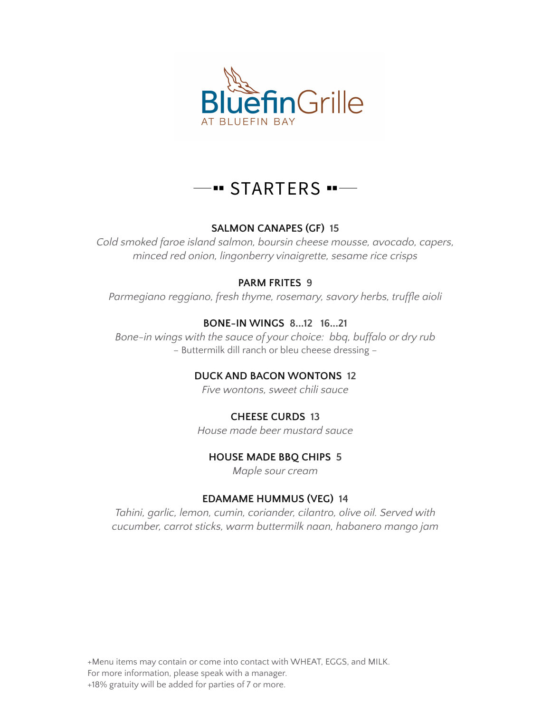

# · STARTERS · --

## **SALMON CANAPES (GF) 15**

*Cold smoked faroe island salmon, boursin cheese mousse, avocado, capers, minced red onion, lingonberry vinaigrette, sesame rice crisps*

## **PARM FRITES 9**

*Parmegiano reggiano, fresh thyme, rosemary, savory herbs, truffle aioli*

# **BONE-IN WINGS 8...12 16...21**

*Bone-in wings with the sauce of your choice: bbq, buffalo or dry rub* – Buttermilk dill ranch or bleu cheese dressing –

# **DUCK AND BACON WONTONS 12**

*Five wontons, sweet chili sauce*

# **CHEESE CURDS 13**

*House made beer mustard sauce*

# **HOUSE MADE BBQ CHIPS 5**

*Maple sour cream*

# **EDAMAME HUMMUS (VEG) 14**

*Tahini, garlic, lemon, cumin, coriander, cilantro, olive oil. Served with cucumber, carrot sticks, warm buttermilk naan, habanero mango jam*

+Menu items may contain or come into contact with WHEAT, EGGS, and MILK. For more information, please speak with a manager. +18% gratuity will be added for parties of 7 or more.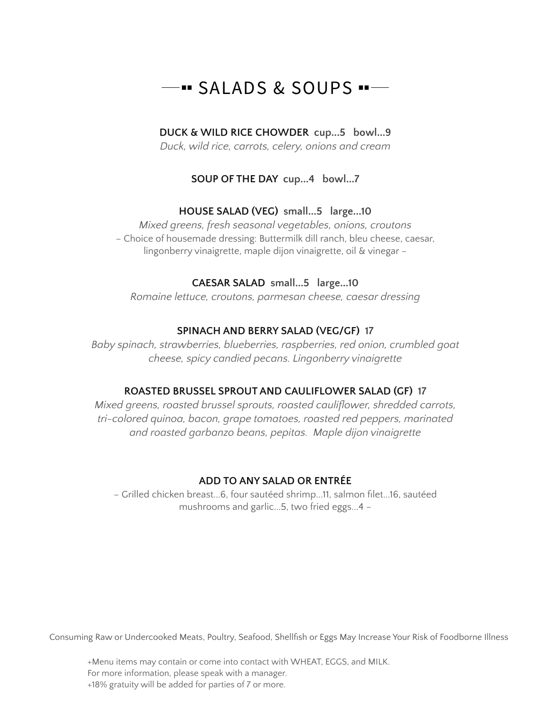# $-$ " SALADS & SOUPS " $-$

### **DUCK & WILD RICE CHOWDER cup...5 bowl...9**

*Duck, wild rice, carrots, celery, onions and cream*

## **SOUP OF THE DAY cup...4 bowl...7**

#### **HOUSE SALAD (VEG) small...5 large...10**

*Mixed greens, fresh seasonal vegetables, onions, croutons* – Choice of housemade dressing: Buttermilk dill ranch, bleu cheese, caesar, lingonberry vinaigrette, maple dijon vinaigrette, oil & vinegar –

#### **CAESAR SALAD small...5 large...10**

*Romaine lettuce, croutons, parmesan cheese, caesar dressing*

#### **SPINACH AND BERRY SALAD (VEG/GF) 17**

*Baby spinach, strawberries, blueberries, raspberries, red onion, crumbled goat cheese, spicy candied pecans. Lingonberry vinaigrette*

#### **ROASTED BRUSSEL SPROUT AND CAULIFLOWER SALAD (GF) 17**

*Mixed greens, roasted brussel sprouts, roasted cauliflower, shredded carrots, tri-colored quinoa, bacon, grape tomatoes, roasted red peppers, marinated and roasted garbanzo beans, pepitas. Maple dijon vinaigrette*

#### **ADD TO ANY SALAD OR ENTRÉE**

– Grilled chicken breast...6, four sautéed shrimp...11, salmon filet...16, sautéed mushrooms and garlic...5, two fried eggs...4 –

Consuming Raw or Undercooked Meats, Poultry, Seafood, Shellfish or Eggs May Increase Your Risk of Foodborne Illness

+Menu items may contain or come into contact with WHEAT, EGGS, and MILK. For more information, please speak with a manager. +18% gratuity will be added for parties of 7 or more.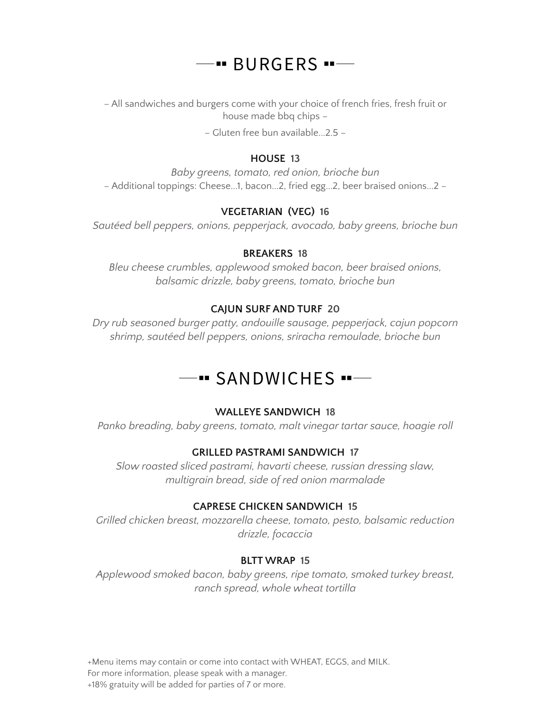# $-$  BURGERS  $-$

– All sandwiches and burgers come with your choice of french fries, fresh fruit or house made bbq chips –

– Gluten free bun available...2.5 –

#### **HOUSE 13**

*Baby greens, tomato, red onion, brioche bun* – Additional toppings: Cheese...1, bacon...2, fried egg...2, beer braised onions...2 –

### **VEGETARIAN (VEG) 16**

*Sautéed bell peppers, onions, pepperjack, avocado, baby greens, brioche bun*

#### **BREAKERS 18**

*Bleu cheese crumbles, applewood smoked bacon, beer braised onions, balsamic drizzle, baby greens, tomato, brioche bun*

#### **CAJUN SURF AND TURF 20**

*Dry rub seasoned burger patty, andouille sausage, pepperjack, cajun popcorn shrimp, sautéed bell peppers, onions, sriracha remoulade, brioche bun*

# - SANDWICHES --

#### **WALLEYE SANDWICH 18**

*Panko breading, baby greens, tomato, malt vinegar tartar sauce, hoagie roll*

#### **GRILLED PASTRAMI SANDWICH 17**

*Slow roasted sliced pastrami, havarti cheese, russian dressing slaw, multigrain bread, side of red onion marmalade*

#### **CAPRESE CHICKEN SANDWICH 15**

*Grilled chicken breast, mozzarella cheese, tomato, pesto, balsamic reduction drizzle, focaccia*

#### **BLTT WRAP 15**

*Applewood smoked bacon, baby greens, ripe tomato, smoked turkey breast, ranch spread, whole wheat tortilla*

+Menu items may contain or come into contact with WHEAT, EGGS, and MILK. For more information, please speak with a manager. +18% gratuity will be added for parties of 7 or more.